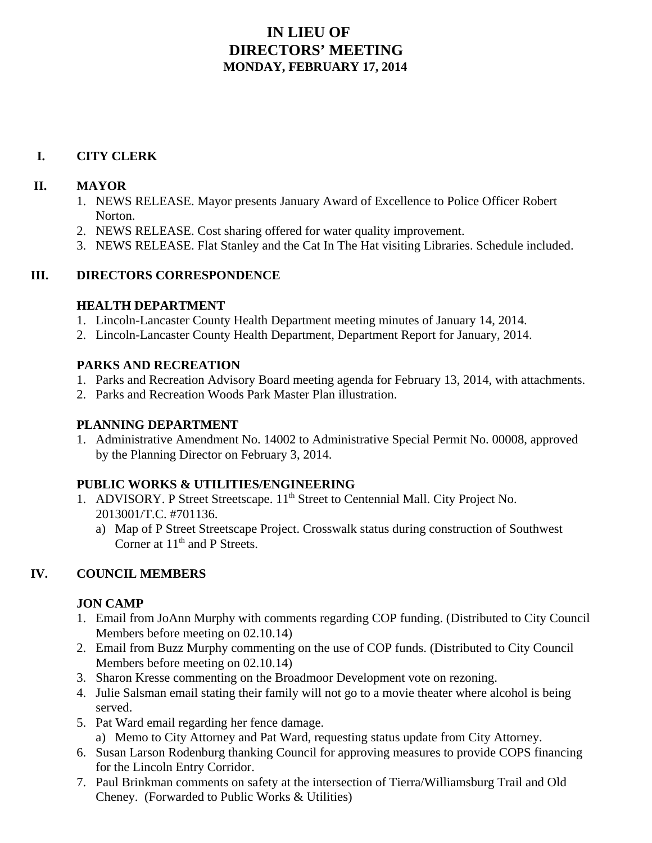# **IN LIEU OF DIRECTORS' MEETING MONDAY, FEBRUARY 17, 2014**

# **I. CITY CLERK**

# **II. MAYOR**

- 1. NEWS RELEASE. Mayor presents January Award of Excellence to Police Officer Robert Norton.
- 2. NEWS RELEASE. Cost sharing offered for water quality improvement.
- 3. NEWS RELEASE. Flat Stanley and the Cat In The Hat visiting Libraries. Schedule included.

# **III. DIRECTORS CORRESPONDENCE**

#### **HEALTH DEPARTMENT**

- 1. Lincoln-Lancaster County Health Department meeting minutes of January 14, 2014.
- 2. Lincoln-Lancaster County Health Department, Department Report for January, 2014.

# **PARKS AND RECREATION**

- 1. Parks and Recreation Advisory Board meeting agenda for February 13, 2014, with attachments.
- 2. Parks and Recreation Woods Park Master Plan illustration.

#### **PLANNING DEPARTMENT**

1. Administrative Amendment No. 14002 to Administrative Special Permit No. 00008, approved by the Planning Director on February 3, 2014.

# **PUBLIC WORKS & UTILITIES/ENGINEERING**

- 1. ADVISORY. P Street Streetscape. 11<sup>th</sup> Street to Centennial Mall. City Project No. 2013001/T.C. #701136.
	- a) Map of P Street Streetscape Project. Crosswalk status during construction of Southwest Corner at  $11<sup>th</sup>$  and P Streets.

# **IV. COUNCIL MEMBERS**

# **JON CAMP**

- 1. Email from JoAnn Murphy with comments regarding COP funding. (Distributed to City Council Members before meeting on 02.10.14)
- 2. Email from Buzz Murphy commenting on the use of COP funds. (Distributed to City Council Members before meeting on 02.10.14)
- 3. Sharon Kresse commenting on the Broadmoor Development vote on rezoning.
- 4. Julie Salsman email stating their family will not go to a movie theater where alcohol is being served.
- 5. Pat Ward email regarding her fence damage. a) Memo to City Attorney and Pat Ward, requesting status update from City Attorney.
- 6. Susan Larson Rodenburg thanking Council for approving measures to provide COPS financing for the Lincoln Entry Corridor.
- 7. Paul Brinkman comments on safety at the intersection of Tierra/Williamsburg Trail and Old Cheney. (Forwarded to Public Works & Utilities)